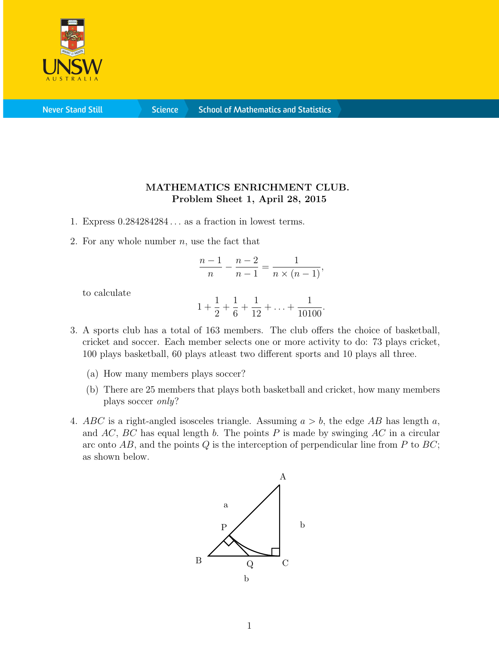

**Science** 

## MATHEMATICS ENRICHMENT CLUB. Problem Sheet 1, April 28, 2015

- 1. Express 0.284284284 . . . as a fraction in lowest terms.
- 2. For any whole number  $n$ , use the fact that

$$
\frac{n-1}{n} - \frac{n-2}{n-1} = \frac{1}{n \times (n-1)},
$$

to calculate

$$
1 + \frac{1}{2} + \frac{1}{6} + \frac{1}{12} + \ldots + \frac{1}{10100}.
$$

- 3. A sports club has a total of 163 members. The club offers the choice of basketball, cricket and soccer. Each member selects one or more activity to do: 73 plays cricket, 100 plays basketball, 60 plays atleast two different sports and 10 plays all three.
	- (a) How many members plays soccer?
	- (b) There are 25 members that plays both basketball and cricket, how many members plays soccer only?
- 4. ABC is a right-angled isosceles triangle. Assuming  $a > b$ , the edge AB has length a, and  $AC$ ,  $BC$  has equal length b. The points P is made by swinging  $AC$  in a circular arc onto  $AB$ , and the points Q is the interception of perpendicular line from P to BC; as shown below.